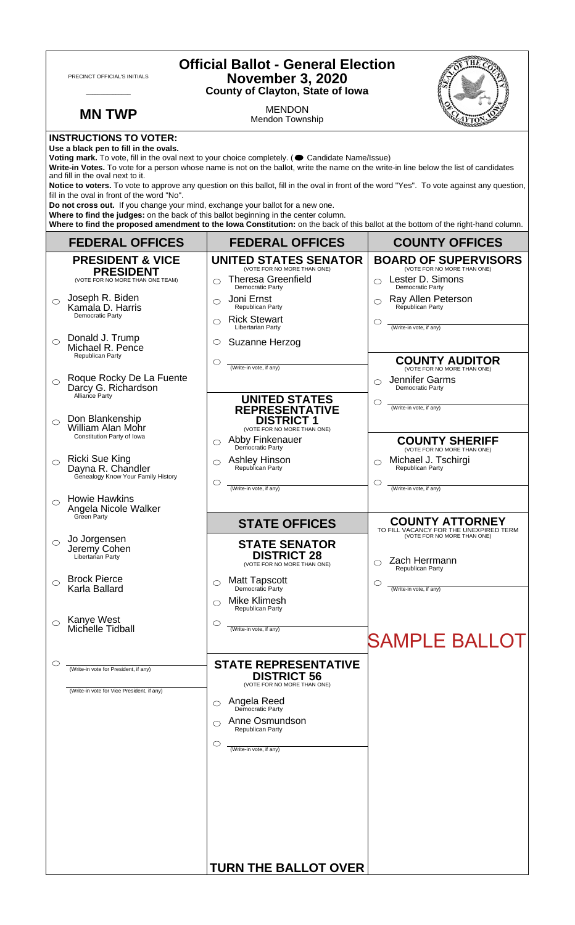| <b>Official Ballot - General Election</b><br>PRECINCT OFFICIAL'S INITIALS<br><b>November 3, 2020</b><br><b>County of Clayton, State of Iowa</b>                                                                                                                                                                                                                                                                                                                                                                                                                                                                                                                                                                                                                                                                                                                      |                                                                                                   |                                                                               |  |
|----------------------------------------------------------------------------------------------------------------------------------------------------------------------------------------------------------------------------------------------------------------------------------------------------------------------------------------------------------------------------------------------------------------------------------------------------------------------------------------------------------------------------------------------------------------------------------------------------------------------------------------------------------------------------------------------------------------------------------------------------------------------------------------------------------------------------------------------------------------------|---------------------------------------------------------------------------------------------------|-------------------------------------------------------------------------------|--|
| <b>MN TWP</b>                                                                                                                                                                                                                                                                                                                                                                                                                                                                                                                                                                                                                                                                                                                                                                                                                                                        | <b>MENDON</b><br>Mendon Township                                                                  |                                                                               |  |
| <b>INSTRUCTIONS TO VOTER:</b><br>Use a black pen to fill in the ovals.<br>Voting mark. To vote, fill in the oval next to your choice completely. ( Candidate Name/Issue)<br>Write-in Votes. To vote for a person whose name is not on the ballot, write the name on the write-in line below the list of candidates<br>and fill in the oval next to it.<br>Notice to voters. To vote to approve any question on this ballot, fill in the oval in front of the word "Yes". To vote against any question,<br>fill in the oval in front of the word "No".<br>Do not cross out. If you change your mind, exchange your ballot for a new one.<br>Where to find the judges: on the back of this ballot beginning in the center column.<br>Where to find the proposed amendment to the lowa Constitution: on the back of this ballot at the bottom of the right-hand column. |                                                                                                   |                                                                               |  |
| <b>FEDERAL OFFICES</b>                                                                                                                                                                                                                                                                                                                                                                                                                                                                                                                                                                                                                                                                                                                                                                                                                                               | <b>FEDERAL OFFICES</b>                                                                            | <b>COUNTY OFFICES</b>                                                         |  |
| <b>PRESIDENT &amp; VICE</b>                                                                                                                                                                                                                                                                                                                                                                                                                                                                                                                                                                                                                                                                                                                                                                                                                                          | <b>UNITED STATES SENATOR</b><br>(VOTE FOR NO MORE THAN ONE)                                       | <b>BOARD OF SUPERVISORS</b><br>(VOTE FOR NO MORE THAN ONE)                    |  |
| <b>PRESIDENT</b><br>(VOTE FOR NO MORE THAN ONE TEAM)                                                                                                                                                                                                                                                                                                                                                                                                                                                                                                                                                                                                                                                                                                                                                                                                                 | <b>Theresa Greenfield</b><br>$\bigcirc$<br>Democratic Party                                       | Lester D. Simons<br>$\bigcirc$<br>Democratic Party                            |  |
| Joseph R. Biden<br>$\bigcirc$<br>Kamala D. Harris<br>Democratic Party                                                                                                                                                                                                                                                                                                                                                                                                                                                                                                                                                                                                                                                                                                                                                                                                | Joni Ernst<br>$\bigcirc$<br>Republican Party<br><b>Rick Stewart</b><br>$\bigcirc$                 | Ray Allen Peterson<br>Republican Party                                        |  |
| Donald J. Trump<br>$\bigcirc$                                                                                                                                                                                                                                                                                                                                                                                                                                                                                                                                                                                                                                                                                                                                                                                                                                        | Libertarian Party<br>Suzanne Herzog<br>$\circ$                                                    | (Write-in vote, if any)                                                       |  |
| Michael R. Pence<br><b>Republican Party</b>                                                                                                                                                                                                                                                                                                                                                                                                                                                                                                                                                                                                                                                                                                                                                                                                                          | $\circ$                                                                                           | <b>COUNTY AUDITOR</b>                                                         |  |
| Roque Rocky De La Fuente<br>$\bigcirc$<br>Darcy G. Richardson<br>Alliance Party                                                                                                                                                                                                                                                                                                                                                                                                                                                                                                                                                                                                                                                                                                                                                                                      | (Write-in vote, if any)                                                                           | (VOTE FOR NO MORE THAN ONE)<br>Jennifer Garms<br>◯<br><b>Democratic Party</b> |  |
| Don Blankenship<br>◯<br><b>William Alan Mohr</b>                                                                                                                                                                                                                                                                                                                                                                                                                                                                                                                                                                                                                                                                                                                                                                                                                     | <b>UNITED STATES</b><br><b>REPRESENTATIVE</b><br><b>DISTRICT 1</b><br>(VOTE FOR NO MORE THAN ONE) | O<br>(Write-in vote, if any)                                                  |  |
| Constitution Party of Iowa                                                                                                                                                                                                                                                                                                                                                                                                                                                                                                                                                                                                                                                                                                                                                                                                                                           | Abby Finkenauer<br>◯<br>Democratic Party                                                          | <b>COUNTY SHERIFF</b><br>(VOTE FOR NO MORE THAN ONE)                          |  |
| <b>Ricki Sue King</b><br>$\circ$<br>Dayna R. Chandler<br>Genealogy Know Your Family History                                                                                                                                                                                                                                                                                                                                                                                                                                                                                                                                                                                                                                                                                                                                                                          | <b>Ashley Hinson</b><br>Republican Party<br>O                                                     | Michael J. Tschirgi<br>◯<br>Republican Party<br>O                             |  |
| <b>Howie Hawkins</b><br>Angela Nicole Walker                                                                                                                                                                                                                                                                                                                                                                                                                                                                                                                                                                                                                                                                                                                                                                                                                         | (Write-in vote, if any)                                                                           | (Write-in vote, if any)                                                       |  |
| Green Party                                                                                                                                                                                                                                                                                                                                                                                                                                                                                                                                                                                                                                                                                                                                                                                                                                                          | <b>STATE OFFICES</b>                                                                              | <b>COUNTY ATTORNEY</b><br>TO FILL VACANCY FOR THE UNEXPIRED TERM              |  |
| Jo Jorgensen<br>$\circ$<br>Jeremy Cohen<br>Libertarian Party                                                                                                                                                                                                                                                                                                                                                                                                                                                                                                                                                                                                                                                                                                                                                                                                         | <b>STATE SENATOR</b><br><b>DISTRICT 28</b><br>(VOTE FOR NO MORE THAN ONE)                         | (VOTE FOR NO MORE THAN ONE)<br>Zach Herrmann<br>Republican Party              |  |
| <b>Brock Pierce</b><br>◯<br>Karla Ballard                                                                                                                                                                                                                                                                                                                                                                                                                                                                                                                                                                                                                                                                                                                                                                                                                            | <b>Matt Tapscott</b><br>◯<br>Democratic Party                                                     | ◯<br>(Write-in vote, if any)                                                  |  |
|                                                                                                                                                                                                                                                                                                                                                                                                                                                                                                                                                                                                                                                                                                                                                                                                                                                                      | Mike Klimesh<br>⌒<br><b>Republican Party</b>                                                      |                                                                               |  |
| Kanye West<br>$\bigcirc$<br>Michelle Tidball                                                                                                                                                                                                                                                                                                                                                                                                                                                                                                                                                                                                                                                                                                                                                                                                                         | O<br>(Write-in vote, if any)                                                                      | <b>SAMPLE BALLOT</b>                                                          |  |
| O<br>(Write-in vote for President, if any)                                                                                                                                                                                                                                                                                                                                                                                                                                                                                                                                                                                                                                                                                                                                                                                                                           | <b>STATE REPRESENTATIVE</b><br><b>DISTRICT 56</b>                                                 |                                                                               |  |
| (Write-in vote for Vice President, if any)                                                                                                                                                                                                                                                                                                                                                                                                                                                                                                                                                                                                                                                                                                                                                                                                                           | (VOTE FOR NO MORE THAN ONE)<br>$\circlearrowright$                                                |                                                                               |  |
|                                                                                                                                                                                                                                                                                                                                                                                                                                                                                                                                                                                                                                                                                                                                                                                                                                                                      | <b>Angela Reed</b><br>Democratic Party<br>Anne Osmundson<br>◯                                     |                                                                               |  |
|                                                                                                                                                                                                                                                                                                                                                                                                                                                                                                                                                                                                                                                                                                                                                                                                                                                                      | Republican Party<br>$\circlearrowright$                                                           |                                                                               |  |
|                                                                                                                                                                                                                                                                                                                                                                                                                                                                                                                                                                                                                                                                                                                                                                                                                                                                      | (Write-in vote, if any)                                                                           |                                                                               |  |
|                                                                                                                                                                                                                                                                                                                                                                                                                                                                                                                                                                                                                                                                                                                                                                                                                                                                      | <b>TURN THE BALLOT OVER</b>                                                                       |                                                                               |  |